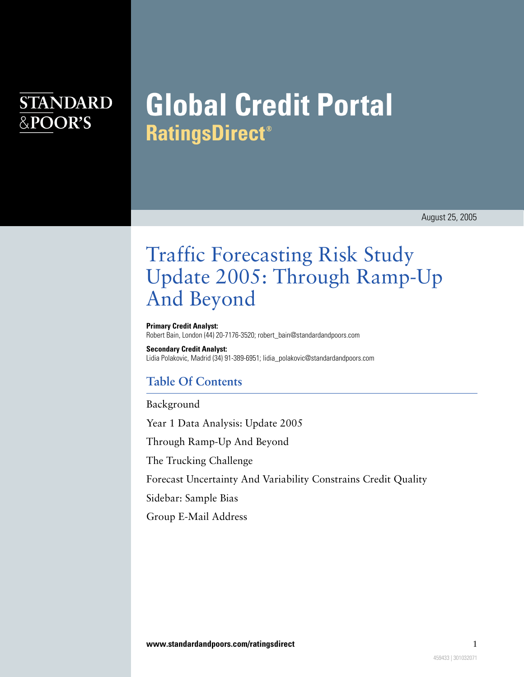## **STANDARD** &POOR'S

# **Global Credit Portal RatingsDirect®**

August 25, 2005

## Traffic Forecasting Risk Study Update 2005: Through Ramp-Up And Beyond

**Primary Credit Analyst:** Robert Bain, London (44) 20-7176-3520; robert\_bain@standardandpoors.com

**Secondary Credit Analyst:** Lidia Polakovic, Madrid (34) 91-389-6951; lidia\_polakovic@standardandpoors.com

## **Table Of Contents**

[Background](#page-1-0)

[Year 1 Data Analysis: Update 2005](#page-2-0)

[Through Ramp-Up And Beyond](#page-3-0)

[The Trucking Challenge](#page-5-0)

[Forecast Uncertainty And Variability Constrains Credit Quality](#page-5-1)

[Sidebar: Sample Bias](#page-7-0)

[Group E-Mail Address](#page-7-1)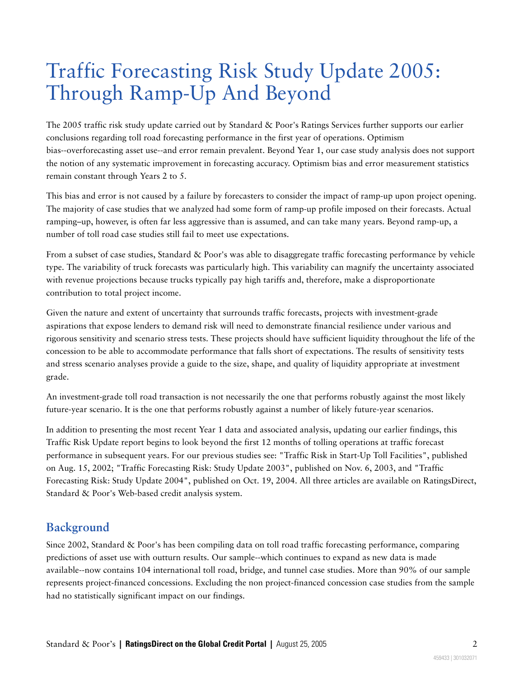## Traffic Forecasting Risk Study Update 2005: Through Ramp-Up And Beyond

The 2005 traffic risk study update carried out by Standard & Poor's Ratings Services further supports our earlier conclusions regarding toll road forecasting performance in the first year of operations. Optimism bias--overforecasting asset use--and error remain prevalent. Beyond Year 1, our case study analysis does not support the notion of any systematic improvement in forecasting accuracy. Optimism bias and error measurement statistics remain constant through Years 2 to 5.

This bias and error is not caused by a failure by forecasters to consider the impact of ramp-up upon project opening. The majority of case studies that we analyzed had some form of ramp-up profile imposed on their forecasts. Actual ramping–up, however, is often far less aggressive than is assumed, and can take many years. Beyond ramp-up, a number of toll road case studies still fail to meet use expectations.

From a subset of case studies, Standard & Poor's was able to disaggregate traffic forecasting performance by vehicle type. The variability of truck forecasts was particularly high. This variability can magnify the uncertainty associated with revenue projections because trucks typically pay high tariffs and, therefore, make a disproportionate contribution to total project income.

Given the nature and extent of uncertainty that surrounds traffic forecasts, projects with investment-grade aspirations that expose lenders to demand risk will need to demonstrate financial resilience under various and rigorous sensitivity and scenario stress tests. These projects should have sufficient liquidity throughout the life of the concession to be able to accommodate performance that falls short of expectations. The results of sensitivity tests and stress scenario analyses provide a guide to the size, shape, and quality of liquidity appropriate at investment grade.

An investment-grade toll road transaction is not necessarily the one that performs robustly against the most likely future-year scenario. It is the one that performs robustly against a number of likely future-year scenarios.

In addition to presenting the most recent Year 1 data and associated analysis, updating our earlier findings, this Traffic Risk Update report begins to look beyond the first 12 months of tolling operations at traffic forecast performance in subsequent years. For our previous studies see: "Traffic Risk in Start-Up Toll Facilities", published on Aug. 15, 2002; "Traffic Forecasting Risk: Study Update 2003", published on Nov. 6, 2003, and "Traffic Forecasting Risk: Study Update 2004", published on Oct. 19, 2004. All three articles are available on RatingsDirect, Standard & Poor's Web-based credit analysis system.

## <span id="page-1-0"></span>**Background**

Since 2002, Standard & Poor's has been compiling data on toll road traffic forecasting performance, comparing predictions of asset use with outturn results. Our sample--which continues to expand as new data is made available--now contains 104 international toll road, bridge, and tunnel case studies. More than 90% of our sample represents project-financed concessions. Excluding the non project-financed concession case studies from the sample had no statistically significant impact on our findings.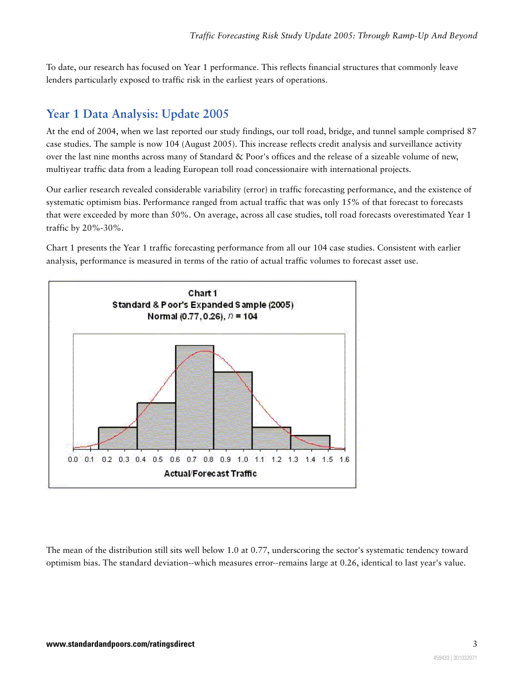To date, our research has focused on Year 1 performance. This reflects financial structures that commonly leave lenders particularly exposed to traffic risk in the earliest years of operations.

### <span id="page-2-0"></span>**Year 1 Data Analysis: Update 2005**

At the end of 2004, when we last reported our study findings, our toll road, bridge, and tunnel sample comprised 87 case studies. The sample is now 104 (August 2005). This increase reflects credit analysis and surveillance activity over the last nine months across many of Standard & Poor's offices and the release of a sizeable volume of new, multiyear traffic data from a leading European toll road concessionaire with international projects.

Our earlier research revealed considerable variability (error) in traffic forecasting performance, and the existence of systematic optimism bias. Performance ranged from actual traffic that was only 15% of that forecast to forecasts that were exceeded by more than 50%. On average, across all case studies, toll road forecasts overestimated Year 1 traffic by 20%-30%.

Chart 1 presents the Year 1 traffic forecasting performance from all our 104 case studies. Consistent with earlier analysis, performance is measured in terms of the ratio of actual traffic volumes to forecast asset use.



The mean of the distribution still sits well below 1.0 at 0.77, underscoring the sector's systematic tendency toward optimism bias. The standard deviation--which measures error--remains large at 0.26, identical to last year's value.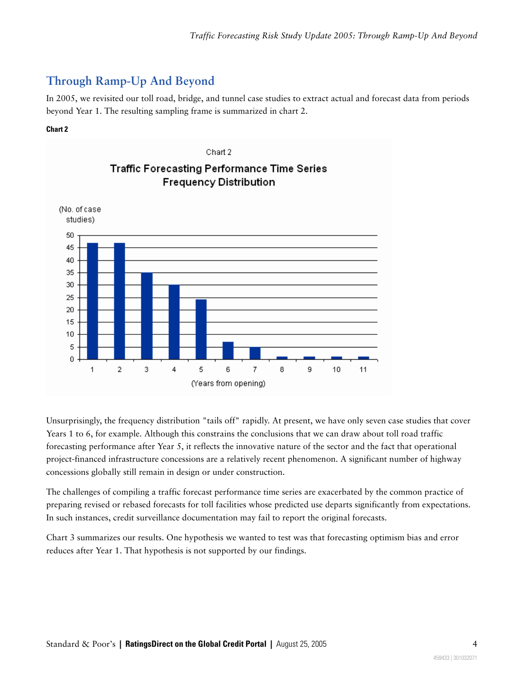## <span id="page-3-0"></span>**Through Ramp-Up And Beyond**

In 2005, we revisited our toll road, bridge, and tunnel case studies to extract actual and forecast data from periods beyond Year 1. The resulting sampling frame is summarized in chart 2.

#### **Chart 2**



Unsurprisingly, the frequency distribution "tails off" rapidly. At present, we have only seven case studies that cover Years 1 to 6, for example. Although this constrains the conclusions that we can draw about toll road traffic forecasting performance after Year 5, it reflects the innovative nature of the sector and the fact that operational project-financed infrastructure concessions are a relatively recent phenomenon. A significant number of highway concessions globally still remain in design or under construction.

The challenges of compiling a traffic forecast performance time series are exacerbated by the common practice of preparing revised or rebased forecasts for toll facilities whose predicted use departs significantly from expectations. In such instances, credit surveillance documentation may fail to report the original forecasts.

Chart 3 summarizes our results. One hypothesis we wanted to test was that forecasting optimism bias and error reduces after Year 1. That hypothesis is not supported by our findings.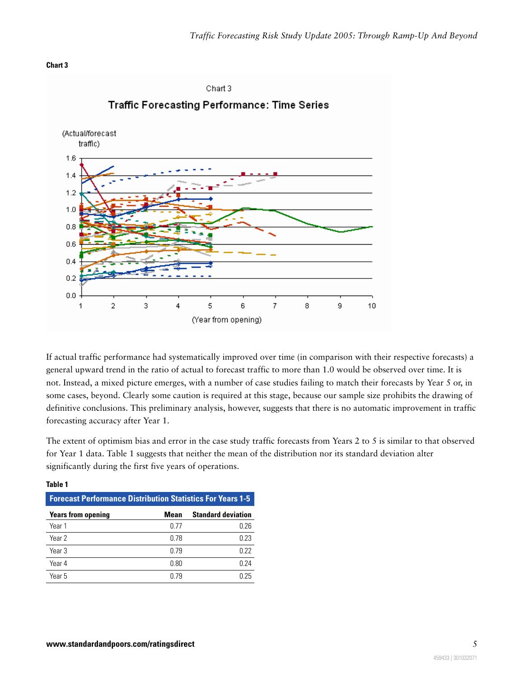



If actual traffic performance had systematically improved over time (in comparison with their respective forecasts) a general upward trend in the ratio of actual to forecast traffic to more than 1.0 would be observed over time. It is not. Instead, a mixed picture emerges, with a number of case studies failing to match their forecasts by Year 5 or, in some cases, beyond. Clearly some caution is required at this stage, because our sample size prohibits the drawing of definitive conclusions. This preliminary analysis, however, suggests that there is no automatic improvement in traffic forecasting accuracy after Year 1.

The extent of optimism bias and error in the case study traffic forecasts from Years 2 to 5 is similar to that observed for Year 1 data. Table 1 suggests that neither the mean of the distribution nor its standard deviation alter significantly during the first five years of operations.

| <b>Forecast Performance Distribution Statistics For Years 1-5</b> |      |                           |
|-------------------------------------------------------------------|------|---------------------------|
| <b>Years from opening</b>                                         | Mean | <b>Standard deviation</b> |
| Year 1                                                            | በ 77 | 0.26                      |
| Year 2                                                            | 0.78 | 0.23                      |
| Year <sub>3</sub>                                                 | በ 79 | 0.22                      |
| Year 4                                                            | 0.80 | 0.24                      |
| Year 5                                                            | በ 79 | በ 25                      |

#### **Table 1**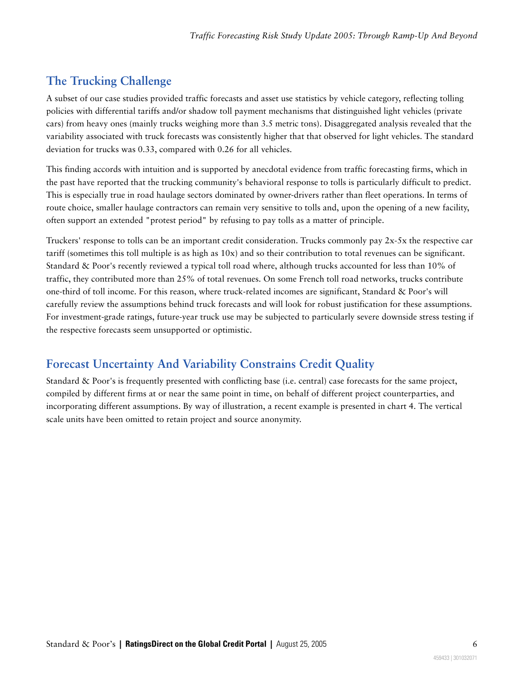## <span id="page-5-0"></span>**The Trucking Challenge**

A subset of our case studies provided traffic forecasts and asset use statistics by vehicle category, reflecting tolling policies with differential tariffs and/or shadow toll payment mechanisms that distinguished light vehicles (private cars) from heavy ones (mainly trucks weighing more than 3.5 metric tons). Disaggregated analysis revealed that the variability associated with truck forecasts was consistently higher that that observed for light vehicles. The standard deviation for trucks was 0.33, compared with 0.26 for all vehicles.

This finding accords with intuition and is supported by anecdotal evidence from traffic forecasting firms, which in the past have reported that the trucking community's behavioral response to tolls is particularly difficult to predict. This is especially true in road haulage sectors dominated by owner-drivers rather than fleet operations. In terms of route choice, smaller haulage contractors can remain very sensitive to tolls and, upon the opening of a new facility, often support an extended "protest period" by refusing to pay tolls as a matter of principle.

Truckers' response to tolls can be an important credit consideration. Trucks commonly pay  $2x-5x$  the respective car tariff (sometimes this toll multiple is as high as 10x) and so their contribution to total revenues can be significant. Standard & Poor's recently reviewed a typical toll road where, although trucks accounted for less than 10% of traffic, they contributed more than 25% of total revenues. On some French toll road networks, trucks contribute one-third of toll income. For this reason, where truck-related incomes are significant, Standard & Poor's will carefully review the assumptions behind truck forecasts and will look for robust justification for these assumptions. For investment-grade ratings, future-year truck use may be subjected to particularly severe downside stress testing if the respective forecasts seem unsupported or optimistic.

## <span id="page-5-1"></span>**Forecast Uncertainty And Variability Constrains Credit Quality**

Standard & Poor's is frequently presented with conflicting base (i.e. central) case forecasts for the same project, compiled by different firms at or near the same point in time, on behalf of different project counterparties, and incorporating different assumptions. By way of illustration, a recent example is presented in chart 4. The vertical scale units have been omitted to retain project and source anonymity.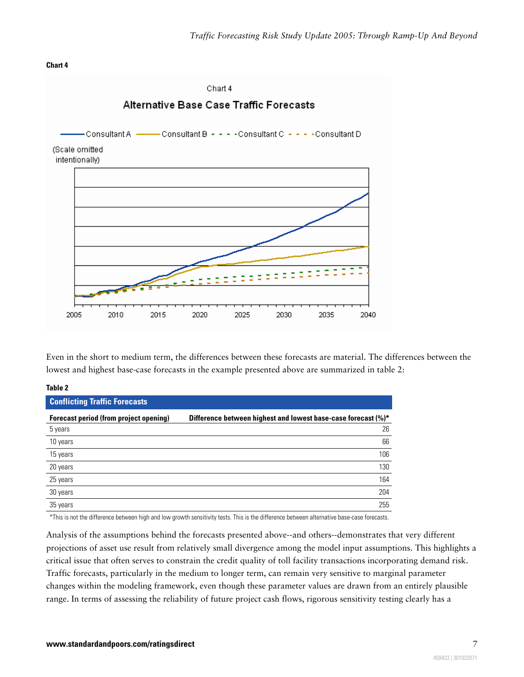#### **Chart 4**



Even in the short to medium term, the differences between these forecasts are material. The differences between the lowest and highest base-case forecasts in the example presented above are summarized in table 2:

#### **Table 2**

| <b>Conflicting Traffic Forecasts</b>   |                                                               |  |
|----------------------------------------|---------------------------------------------------------------|--|
| Forecast period (from project opening) | Difference between highest and lowest base-case forecast (%)* |  |
| 5 years                                | 26                                                            |  |
| 10 years                               | 66                                                            |  |
| 15 years                               | 106                                                           |  |
| 20 years                               | 130                                                           |  |
| 25 years                               | 164                                                           |  |
| 30 years                               | 204                                                           |  |
| 35 years                               | 255                                                           |  |

\*This is not the difference between high and low growth sensitivity tests. This is the difference between alternative base-case forecasts.

Analysis of the assumptions behind the forecasts presented above--and others--demonstrates that very different projections of asset use result from relatively small divergence among the model input assumptions. This highlights a critical issue that often serves to constrain the credit quality of toll facility transactions incorporating demand risk. Traffic forecasts, particularly in the medium to longer term, can remain very sensitive to marginal parameter changes within the modeling framework, even though these parameter values are drawn from an entirely plausible range. In terms of assessing the reliability of future project cash flows, rigorous sensitivity testing clearly has a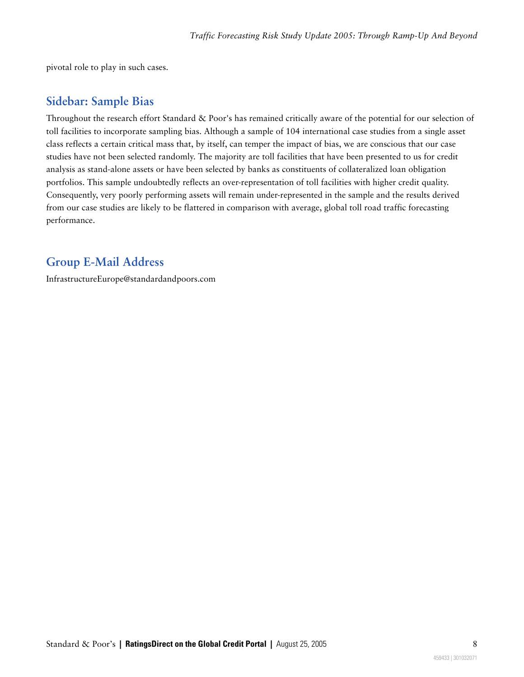<span id="page-7-0"></span>pivotal role to play in such cases.

### **Sidebar: Sample Bias**

Throughout the research effort Standard & Poor's has remained critically aware of the potential for our selection of toll facilities to incorporate sampling bias. Although a sample of 104 international case studies from a single asset class reflects a certain critical mass that, by itself, can temper the impact of bias, we are conscious that our case studies have not been selected randomly. The majority are toll facilities that have been presented to us for credit analysis as stand-alone assets or have been selected by banks as constituents of collateralized loan obligation portfolios. This sample undoubtedly reflects an over-representation of toll facilities with higher credit quality. Consequently, very poorly performing assets will remain under-represented in the sample and the results derived from our case studies are likely to be flattered in comparison with average, global toll road traffic forecasting performance.

### <span id="page-7-1"></span>**Group E-Mail Address**

InfrastructureEurope@standardandpoors.com